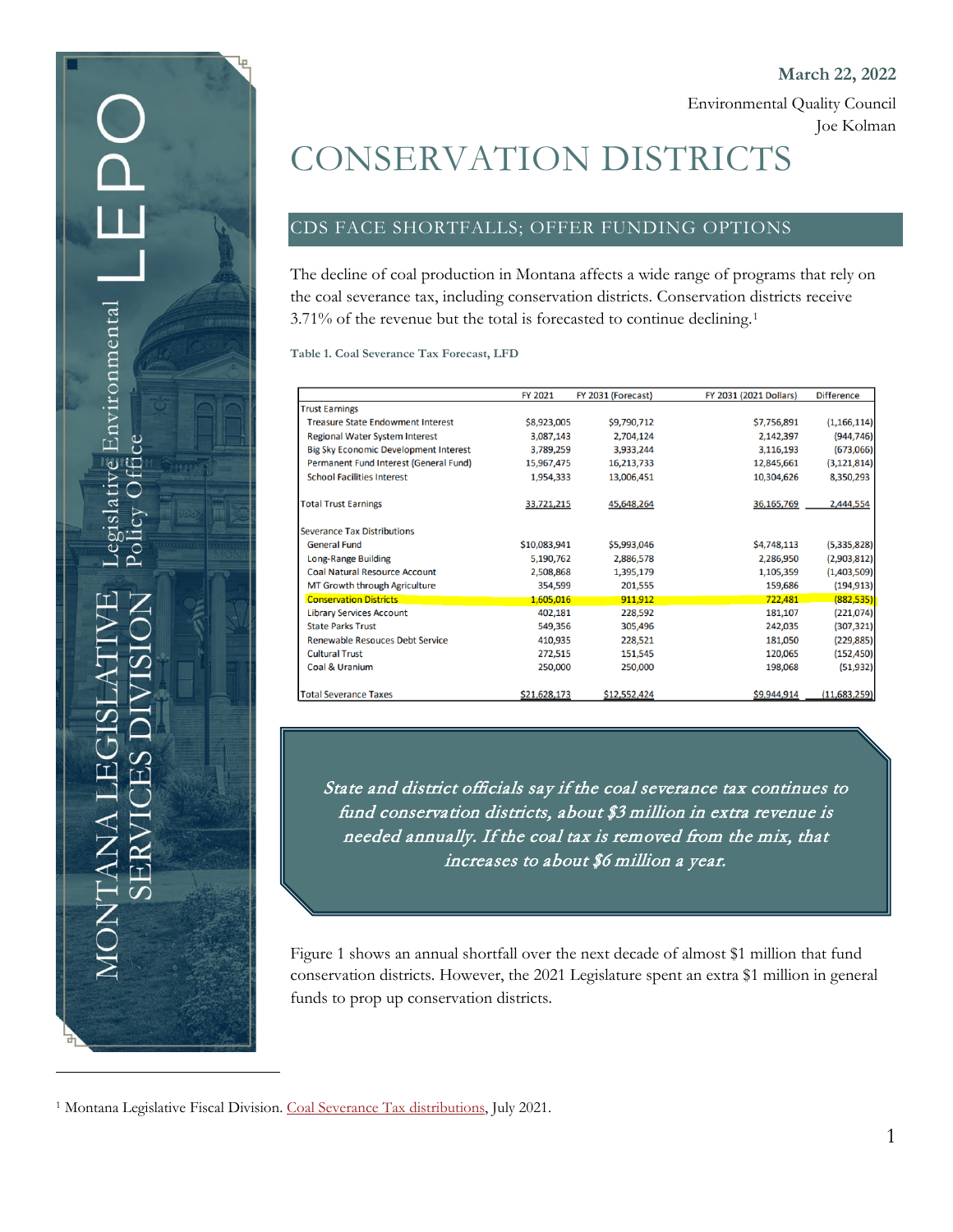## CONSERVATION DISTRICTS

## CDS FACE SHORTFALLS; OFFER FUNDING OPTIONS

The decline of coal production in Montana affects a wide range of programs that rely on the coal severance tax, including conservation districts. Conservation districts receive 3.71% of the revenue but the total is forecasted to continue declining.[1](#page-0-0)

**Table 1. Coal Severance Tax Forecast, LFD**

|                                              | <b>FY 2021</b> | FY 2031 (Forecast) | FY 2031 (2021 Dollars) | <b>Difference</b> |
|----------------------------------------------|----------------|--------------------|------------------------|-------------------|
| <b>Trust Earnings</b>                        |                |                    |                        |                   |
| <b>Treasure State Endowment Interest</b>     | \$8,923,005    | \$9,790,712        | \$7,756,891            | (1, 166, 114)     |
| Regional Water System Interest               | 3,087,143      | 2,704,124          | 2,142,397              | (944, 746)        |
| <b>Big Sky Economic Development Interest</b> | 3,789,259      | 3,933,244          | 3,116,193              | (673,066)         |
| Permanent Fund Interest (General Fund)       | 15,967,475     | 16,213,733         | 12,845,661             | (3, 121, 814)     |
| <b>School Facilities Interest</b>            | 1,954,333      | 13,006,451         | 10,304,626             | 8,350,293         |
| <b>Total Trust Earnings</b>                  | 33,721,215     | 45,648,264         | 36,165,769             | 2,444,554         |
| Severance Tax Distributions                  |                |                    |                        |                   |
| <b>General Fund</b>                          | \$10,083,941   | \$5,993,046        | \$4,748,113            | (5,335,828)       |
| Long-Range Building                          | 5,190,762      | 2,886,578          | 2,286,950              | (2,903,812)       |
| <b>Coal Natural Resource Account</b>         | 2,508,868      | 1,395,179          | 1,105,359              | (1,403,509)       |
| MT Growth through Agriculture                | 354,599        | 201,555            | 159,686                | (194, 913)        |
| <b>Conservation Districts</b>                | 1,605,016      | 911,912            | 722,481                | (882, 535)        |
| <b>Library Services Account</b>              | 402,181        | 228,592            | 181,107                | (221, 074)        |
| <b>State Parks Trust</b>                     | 549,356        | 305,496            | 242,035                | (307, 321)        |
| <b>Renewable Resouces Debt Service</b>       | 410.935        | 228,521            | 181,050                | (229, 885)        |
| <b>Cultural Trust</b>                        | 272,515        | 151,545            | 120,065                | (152, 450)        |
| Coal & Uranium                               | 250,000        | 250,000            | 198,068                | (51, 932)         |
| <b>Total Severance Taxes</b>                 | \$21,628,173   | \$12,552,424       | \$9,944,914            | (11,683,259)      |

State and district officials say if the coal severance tax continues to fund conservation districts, about \$3 million in extra revenue is needed annually. If the coal tax is removed from the mix, that increases to about \$6 million a year.

Figure 1 shows an annual shortfall over the next decade of almost \$1 million that fund conservation districts. However, the 2021 Legislature spent an extra \$1 million in general funds to prop up conservation districts.

<span id="page-0-0"></span><sup>&</sup>lt;sup>1</sup> Montana Legislative Fiscal Division. [Coal Severance Tax distributions,](https://leg.mt.gov/content/Publications/fiscal/leg_reference/Brochures/coal-trust-brochure-2021.pdf) July 2021.